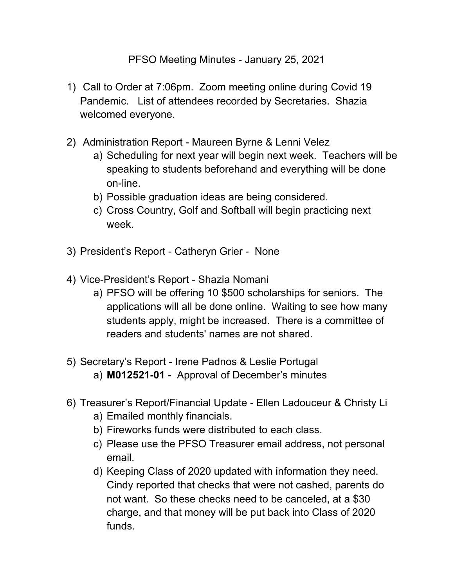## PFSO Meeting Minutes - January 25, 2021

- 1) Call to Order at 7:06pm. Zoom meeting online during Covid 19 Pandemic. List of attendees recorded by Secretaries. Shazia welcomed everyone.
- 2) Administration Report Maureen Byrne & Lenni Velez
	- a) Scheduling for next year will begin next week. Teachers will be speaking to students beforehand and everything will be done on-line.
	- b) Possible graduation ideas are being considered.
	- c) Cross Country, Golf and Softball will begin practicing next week.
- 3) President's Report Catheryn Grier None
- 4) Vice-President's Report Shazia Nomani
	- a) PFSO will be offering 10 \$500 scholarships for seniors. The applications will all be done online. Waiting to see how many students apply, might be increased. There is a committee of readers and students' names are not shared.
- 5) Secretary's Report Irene Padnos & Leslie Portugal a) **M012521-01** - Approval of December's minutes
- 6) Treasurer's Report/Financial Update Ellen Ladouceur & Christy Li
	- a) Emailed monthly financials.
	- b) Fireworks funds were distributed to each class.
	- c) Please use the PFSO Treasurer email address, not personal email.
	- d) Keeping Class of 2020 updated with information they need. Cindy reported that checks that were not cashed, parents do not want. So these checks need to be canceled, at a \$30 charge, and that money will be put back into Class of 2020 funds.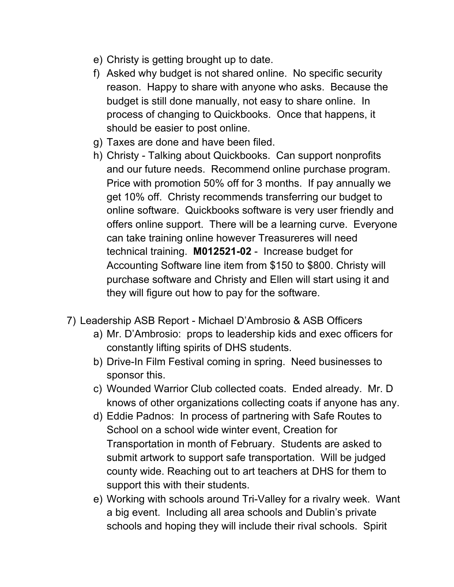- e) Christy is getting brought up to date.
- f) Asked why budget is not shared online. No specific security reason. Happy to share with anyone who asks. Because the budget is still done manually, not easy to share online. In process of changing to Quickbooks. Once that happens, it should be easier to post online.
- g) Taxes are done and have been filed.
- h) Christy Talking about Quickbooks. Can support nonprofits and our future needs. Recommend online purchase program. Price with promotion 50% off for 3 months. If pay annually we get 10% off. Christy recommends transferring our budget to online software. Quickbooks software is very user friendly and offers online support. There will be a learning curve. Everyone can take training online however Treasureres will need technical training. **M012521-02** - Increase budget for Accounting Software line item from \$150 to \$800. Christy will purchase software and Christy and Ellen will start using it and they will figure out how to pay for the software.
- 7) Leadership ASB Report Michael D'Ambrosio & ASB Officers
	- a) Mr. D'Ambrosio: props to leadership kids and exec officers for constantly lifting spirits of DHS students.
	- b) Drive-In Film Festival coming in spring. Need businesses to sponsor this.
	- c) Wounded Warrior Club collected coats. Ended already. Mr. D knows of other organizations collecting coats if anyone has any.
	- d) Eddie Padnos: In process of partnering with Safe Routes to School on a school wide winter event, Creation for Transportation in month of February. Students are asked to submit artwork to support safe transportation. Will be judged county wide. Reaching out to art teachers at DHS for them to support this with their students.
	- e) Working with schools around Tri-Valley for a rivalry week. Want a big event. Including all area schools and Dublin's private schools and hoping they will include their rival schools. Spirit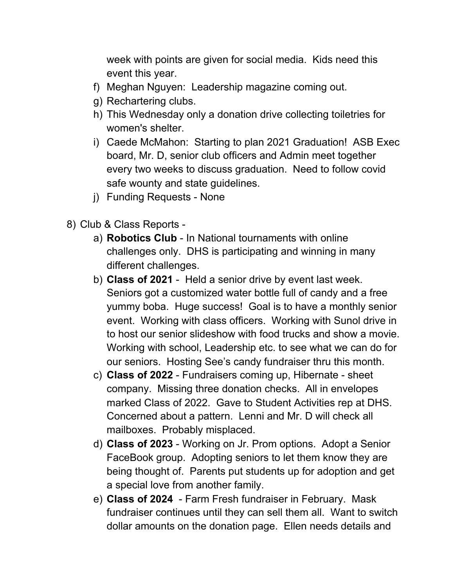week with points are given for social media. Kids need this event this year.

- f) Meghan Nguyen: Leadership magazine coming out.
- g) Rechartering clubs.
- h) This Wednesday only a donation drive collecting toiletries for women's shelter.
- i) Caede McMahon: Starting to plan 2021 Graduation! ASB Exec board, Mr. D, senior club officers and Admin meet together every two weeks to discuss graduation. Need to follow covid safe wounty and state guidelines.
- j) Funding Requests None
- 8) Club & Class Reports
	- a) **Robotics Club** In National tournaments with online challenges only. DHS is participating and winning in many different challenges.
	- b) **Class of 2021** Held a senior drive by event last week. Seniors got a customized water bottle full of candy and a free yummy boba. Huge success! Goal is to have a monthly senior event. Working with class officers. Working with Sunol drive in to host our senior slideshow with food trucks and show a movie. Working with school, Leadership etc. to see what we can do for our seniors. Hosting See's candy fundraiser thru this month.
	- c) **Class of 2022** Fundraisers coming up, Hibernate sheet company. Missing three donation checks. All in envelopes marked Class of 2022. Gave to Student Activities rep at DHS. Concerned about a pattern. Lenni and Mr. D will check all mailboxes. Probably misplaced.
	- d) **Class of 2023** Working on Jr. Prom options. Adopt a Senior FaceBook group. Adopting seniors to let them know they are being thought of. Parents put students up for adoption and get a special love from another family.
	- e) **Class of 2024** Farm Fresh fundraiser in February. Mask fundraiser continues until they can sell them all. Want to switch dollar amounts on the donation page. Ellen needs details and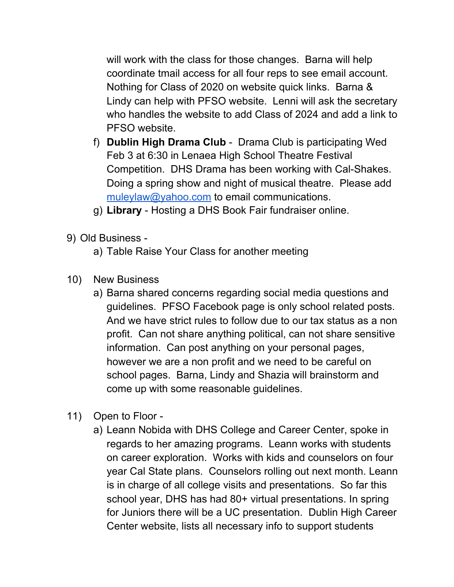will work with the class for those changes. Barna will help coordinate tmail access for all four reps to see email account. Nothing for Class of 2020 on website quick links. Barna & Lindy can help with PFSO website. Lenni will ask the secretary who handles the website to add Class of 2024 and add a link to PFSO website.

- f) **Dublin High Drama Club** Drama Club is participating Wed Feb 3 at 6:30 in Lenaea High School Theatre Festival Competition. DHS Drama has been working with Cal-Shakes. Doing a spring show and night of musical theatre. Please add [muleylaw@yahoo.com](mailto:muleylaw@yahoo.com) to email communications.
- g) **Library** Hosting a DHS Book Fair fundraiser online.
- 9) Old Business
	- a) Table Raise Your Class for another meeting
- 10) New Business
	- a) Barna shared concerns regarding social media questions and guidelines. PFSO Facebook page is only school related posts. And we have strict rules to follow due to our tax status as a non profit. Can not share anything political, can not share sensitive information. Can post anything on your personal pages, however we are a non profit and we need to be careful on school pages. Barna, Lindy and Shazia will brainstorm and come up with some reasonable guidelines.
- 11) Open to Floor
	- a) Leann Nobida with DHS College and Career Center, spoke in regards to her amazing programs. Leann works with students on career exploration. Works with kids and counselors on four year Cal State plans. Counselors rolling out next month. Leann is in charge of all college visits and presentations. So far this school year, DHS has had 80+ virtual presentations. In spring for Juniors there will be a UC presentation. Dublin High Career Center website, lists all necessary info to support students